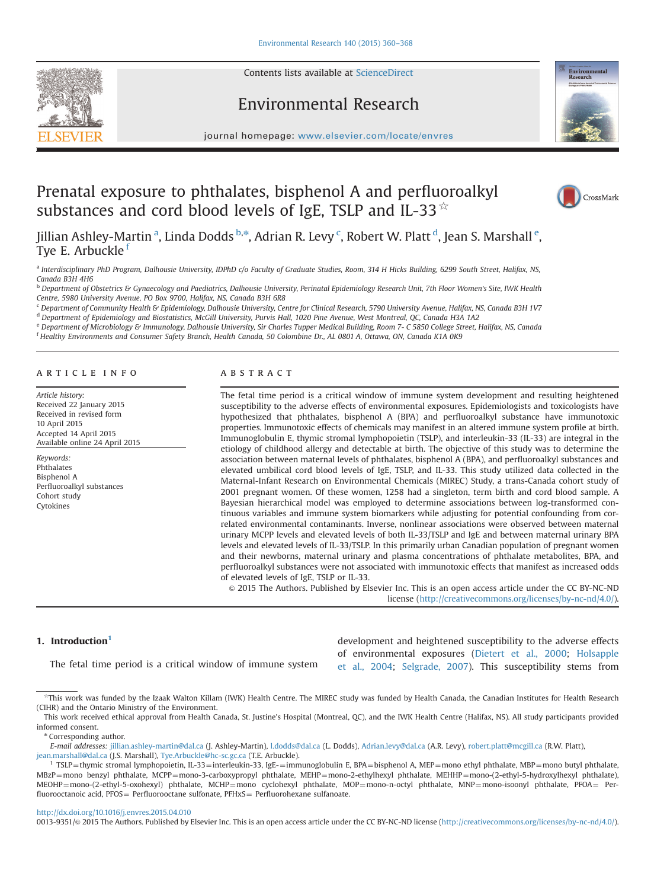Contents lists available at [ScienceDirect](www.sciencedirect.com/science/journal/00139351)







journal homepage: <www.elsevier.com/locate/envres>se $\mathcal{C}$ 

# Prenatal exposure to phthalates, bisphenol A and perfluoroalkyl substances and cord blood levels of IgE, TSLP and IL-33 $\star$



Jillian Ashley-Martin <sup>a</sup>, Linda Dodds <sup>b,\*</sup>, Adrian R. Levy <sup>c</sup>, Robert W. Platt <sup>d</sup>, Jean S. Marshall <sup>e</sup>, Tye E. Arbuckle<sup>f</sup>

a Interdisciplinary PhD Program, Dalhousie University, IDPhD c/o Faculty of Graduate Studies, Room, 314 H Hicks Building, 6299 South Street, Halifax, NS, Canada B3H 4H6

**b Department of Obstetrics & Gynaecology and Paediatrics, Dalhousie University, Perinatal Epidemiology Research Unit, 7th Floor Women's Site, IWK Health** Centre, 5980 University Avenue, PO Box 9700, Halifax, NS, Canada B3H 6R8

<sup>c</sup> Department of Community Health & Epidemiology, Dalhousie University, Centre for Clinical Research, 5790 University Avenue, Halifax, NS, Canada B3H 1V7 <sup>d</sup> Department of Epidemiology and Biostatistics, McGill University, Purvis Hall, 1020 Pine Avenue, West Montreal, QC, Canada H3A 1A2

e Department of Microbiology & Immunology, Dalhousie University, Sir Charles Tupper Medical Building, Room 7- C 5850 College Street, Halifax, NS, Canada

f Healthy Environments and Consumer Safety Branch, Health Canada, 50 Colombine Dr., AL 0801 A, Ottawa, ON, Canada K1A 0K9

## article info

Article history: Received 22 January 2015 Received in revised form 10 April 2015 Accepted 14 April 2015 Available online 24 April 2015

Keywords: Phthalates Bisphenol A Perfluoroalkyl substances Cohort study Cytokines

# ABSTRACT

The fetal time period is a critical window of immune system development and resulting heightened susceptibility to the adverse effects of environmental exposures. Epidemiologists and toxicologists have hypothesized that phthalates, bisphenol A (BPA) and perfluoroalkyl substance have immunotoxic properties. Immunotoxic effects of chemicals may manifest in an altered immune system profile at birth. Immunoglobulin E, thymic stromal lymphopoietin (TSLP), and interleukin-33 (IL-33) are integral in the etiology of childhood allergy and detectable at birth. The objective of this study was to determine the association between maternal levels of phthalates, bisphenol A (BPA), and perfluoroalkyl substances and elevated umbilical cord blood levels of IgE, TSLP, and IL-33. This study utilized data collected in the Maternal-Infant Research on Environmental Chemicals (MIREC) Study, a trans-Canada cohort study of 2001 pregnant women. Of these women, 1258 had a singleton, term birth and cord blood sample. A Bayesian hierarchical model was employed to determine associations between log-transformed continuous variables and immune system biomarkers while adjusting for potential confounding from correlated environmental contaminants. Inverse, nonlinear associations were observed between maternal urinary MCPP levels and elevated levels of both IL-33/TSLP and IgE and between maternal urinary BPA levels and elevated levels of IL-33/TSLP. In this primarily urban Canadian population of pregnant women and their newborns, maternal urinary and plasma concentrations of phthalate metabolites, BPA, and perfluoroalkyl substances were not associated with immunotoxic effects that manifest as increased odds of elevated levels of IgE, TSLP or IL-33.

& 2015 The Authors. Published by Elsevier Inc. This is an open access article under the CC BY-NC-ND license (http://creativecommons.org/licenses/by-nc-nd/4.0/).

# 1. Introduction<sup>1</sup>

The fetal time period is a critical window of immune system

development and heightened susceptibility to the adverse effects of environmental exposures [\(Dietert et al., 2000](#page-7-0); [Holsapple](#page-7-0) [et al., 2004;](#page-7-0) [Selgrade, 2007](#page-8-0)). This susceptibility stems from

<http://dx.doi.org/10.1016/j.envres.2015.04.010>

0013-9351/@ 2015 The Authors. Published by Elsevier Inc. This is an open access article under the CC BY-NC-ND license (http://creativecommons.org/licenses/by-nc-nd/4.0/).

<sup>☆</sup>This work was funded by the Izaak Walton Killam (IWK) Health Centre. The MIREC study was funded by Health Canada, the Canadian Institutes for Health Research (CIHR) and the Ontario Ministry of the Environment.

This work received ethical approval from Health Canada, St. Justine's Hospital (Montreal, QC), and the IWK Health Centre (Halifax, NS). All study participants provided informed consent.

<sup>\*</sup> Corresponding author.

E-mail addresses: [jillian.ashley-martin@dal.ca](mailto:jillian.ashley-martin@dal.ca) (J. Ashley-Martin), [l.dodds@dal.ca](mailto:l.dodds@dal.ca) (L. Dodds), [Adrian.levy@dal.ca](mailto:Adrian.levy@dal.ca) (A.R. Levy), [robert.platt@mcgill.ca](mailto:robert.platt@mcgill.ca) (R.W. Platt), [jean.marshall@dal.ca](mailto:jean.marshall@dal.ca) (J.S. Marshall), [Tye.Arbuckle@hc-sc.gc.ca](mailto:Tye.Arbuckle@hc-sc.gc.ca) (T.E. Arbuckle).

 $1$  TSLP=thymic stromal lymphopoietin, IL-33=interleukin-33, IgE-=immunoglobulin E, BPA=bisphenol A, MEP=mono ethyl phthalate, MBP=mono butyl phthalate, MBzP=mono benzyl phthalate, MCPP=mono-3-carboxypropyl phthalate, MEHP=mono-2-ethylhexyl phthalate, MEHHP=mono-(2-ethyl-5-hydroxylhexyl phthalate), MEOHP=mono-(2-ethyl-5-oxohexyl) phthalate, MCHP=mono cyclohexyl phthalate, MOP=mono-n-octyl phthalate, MNP=mono-isoonyl phthalate, PFOA= Perfluorooctanoic acid, PFOS = Perfluorooctane sulfonate, PFHxS = Perfluorohexane sulfanoate.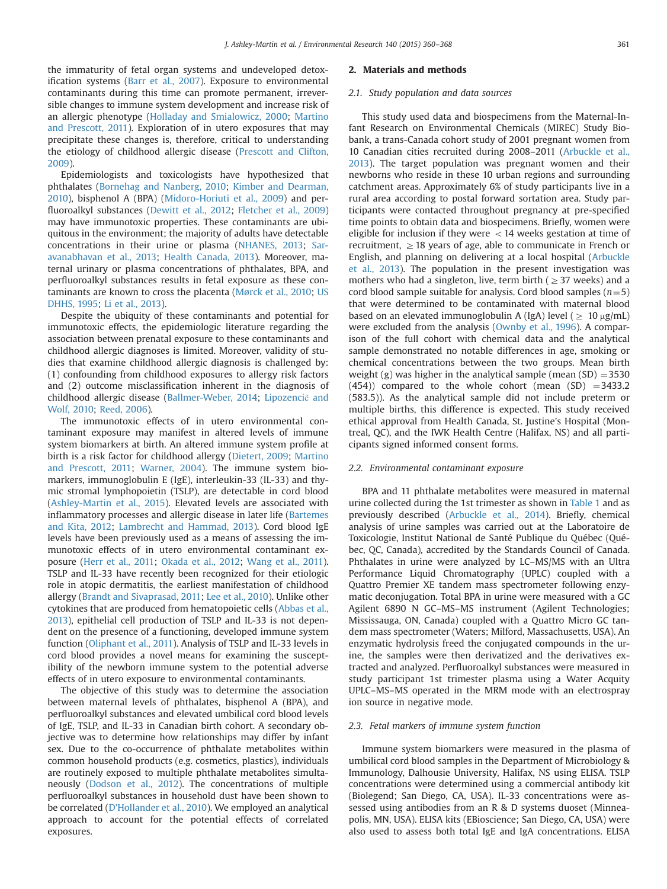the immaturity of fetal organ systems and undeveloped detoxification systems [\(Barr et al., 2007\)](#page-7-0). Exposure to environmental contaminants during this time can promote permanent, irreversible changes to immune system development and increase risk of an allergic phenotype ([Holladay and Smialowicz, 2000;](#page-7-0) [Martino](#page-8-0) [and Prescott, 2011](#page-8-0)). Exploration of in utero exposures that may precipitate these changes is, therefore, critical to understanding the etiology of childhood allergic disease ([Prescott and Clifton,](#page-8-0) [2009\)](#page-8-0).

Epidemiologists and toxicologists have hypothesized that phthalates ([Bornehag and Nanberg, 2010;](#page-7-0) [Kimber and Dearman,](#page-7-0) [2010\)](#page-7-0), bisphenol A (BPA) ([Midoro-Horiuti et al., 2009](#page-8-0)) and perfluoroalkyl substances [\(Dewitt et al., 2012](#page-7-0); [Fletcher et al., 2009\)](#page-7-0) may have immunotoxic properties. These contaminants are ubiquitous in the environment; the majority of adults have detectable concentrations in their urine or plasma ([NHANES, 2013;](#page-8-0) [Sar](#page-8-0)[avanabhavan et al., 2013;](#page-8-0) [Health Canada, 2013](#page-7-0)). Moreover, maternal urinary or plasma concentrations of phthalates, BPA, and perfluoroalkyl substances results in fetal exposure as these contaminants are known to cross the placenta [\(Mørck et al., 2010](#page-8-0); [US](#page-8-0) [DHHS, 1995;](#page-8-0) [Li et al., 2013](#page-7-0)).

Despite the ubiquity of these contaminants and potential for immunotoxic effects, the epidemiologic literature regarding the association between prenatal exposure to these contaminants and childhood allergic diagnoses is limited. Moreover, validity of studies that examine childhood allergic diagnosis is challenged by: (1) confounding from childhood exposures to allergy risk factors and (2) outcome misclassification inherent in the diagnosis of childhood allergic disease [\(Ballmer-Weber, 2014;](#page-7-0) [Lipozenci](#page-7-0)ć and [Wolf, 2010](#page-7-0); [Reed, 2006\)](#page-8-0).

The immunotoxic effects of in utero environmental contaminant exposure may manifest in altered levels of immune system biomarkers at birth. An altered immune system profile at birth is a risk factor for childhood allergy [\(Dietert, 2009](#page-7-0); [Martino](#page-8-0) [and Prescott, 2011](#page-8-0); [Warner, 2004](#page-8-0)). The immune system biomarkers, immunoglobulin E (IgE), interleukin-33 (IL-33) and thymic stromal lymphopoietin (TSLP), are detectable in cord blood ([Ashley-Martin et al., 2015](#page-7-0)). Elevated levels are associated with inflammatory processes and allergic disease in later life [\(Bartemes](#page-7-0) [and Kita, 2012](#page-7-0); [Lambrecht and Hammad, 2013\)](#page-7-0). Cord blood IgE levels have been previously used as a means of assessing the immunotoxic effects of in utero environmental contaminant exposure ([Herr et al., 2011;](#page-7-0) [Okada et al., 2012](#page-8-0); [Wang et al., 2011\)](#page-8-0). TSLP and IL-33 have recently been recognized for their etiologic role in atopic dermatitis, the earliest manifestation of childhood allergy [\(Brandt and Sivaprasad, 2011;](#page-7-0) [Lee et al., 2010\)](#page-7-0). Unlike other cytokines that are produced from hematopoietic cells ([Abbas et al.,](#page-7-0) [2013\)](#page-7-0), epithelial cell production of TSLP and IL-33 is not dependent on the presence of a functioning, developed immune system function [\(Oliphant et al., 2011\)](#page-8-0). Analysis of TSLP and IL-33 levels in cord blood provides a novel means for examining the susceptibility of the newborn immune system to the potential adverse effects of in utero exposure to environmental contaminants.

The objective of this study was to determine the association between maternal levels of phthalates, bisphenol A (BPA), and perfluoroalkyl substances and elevated umbilical cord blood levels of IgE, TSLP, and IL-33 in Canadian birth cohort. A secondary objective was to determine how relationships may differ by infant sex. Due to the co-occurrence of phthalate metabolites within common household products (e.g. cosmetics, plastics), individuals are routinely exposed to multiple phthalate metabolites simultaneously ([Dodson et al., 2012\)](#page-7-0). The concentrations of multiple perfluoroalkyl substances in household dust have been shown to be correlated (D'[Hollander et al., 2010\)](#page-7-0). We employed an analytical approach to account for the potential effects of correlated exposures.

#### 2. Materials and methods

## 2.1. Study population and data sources

This study used data and biospecimens from the Maternal-Infant Research on Environmental Chemicals (MIREC) Study Biobank, a trans-Canada cohort study of 2001 pregnant women from 10 Canadian cities recruited during 2008–2011 [\(Arbuckle et al.,](#page-7-0) [2013\)](#page-7-0). The target population was pregnant women and their newborns who reside in these 10 urban regions and surrounding catchment areas. Approximately 6% of study participants live in a rural area according to postal forward sortation area. Study participants were contacted throughout pregnancy at pre-specified time points to obtain data and biospecimens. Briefly, women were eligible for inclusion if they were  $<$  14 weeks gestation at time of recruitment,  $\geq 18$  years of age, able to communicate in French or English, and planning on delivering at a local hospital ([Arbuckle](#page-7-0) [et al., 2013](#page-7-0)). The population in the present investigation was mothers who had a singleton, live, term birth ( $\geq$  37 weeks) and a cord blood sample suitable for analysis. Cord blood samples ( $n=5$ ) that were determined to be contaminated with maternal blood based on an elevated immunoglobulin A (IgA) level ( $\geq 10 \,\mu$ g/mL) were excluded from the analysis ([Ownby et al., 1996\)](#page-8-0). A comparison of the full cohort with chemical data and the analytical sample demonstrated no notable differences in age, smoking or chemical concentrations between the two groups. Mean birth weight (g) was higher in the analytical sample (mean  $(SD) = 3530$ (454)) compared to the whole cohort (mean  $(SD) = 3433.2$ (583.5)). As the analytical sample did not include preterm or multiple births, this difference is expected. This study received ethical approval from Health Canada, St. Justine's Hospital (Montreal, QC), and the IWK Health Centre (Halifax, NS) and all participants signed informed consent forms.

## 2.2. Environmental contaminant exposure

BPA and 11 phthalate metabolites were measured in maternal urine collected during the 1st trimester as shown in [Table 1](#page-2-0) and as previously described [\(Arbuckle et al., 2014\)](#page-7-0). Briefly, chemical analysis of urine samples was carried out at the Laboratoire de Toxicologie, Institut National de Santé Publique du Québec (Québec, QC, Canada), accredited by the Standards Council of Canada. Phthalates in urine were analyzed by LC–MS/MS with an Ultra Performance Liquid Chromatography (UPLC) coupled with a Quattro Premier XE tandem mass spectrometer following enzymatic deconjugation. Total BPA in urine were measured with a GC Agilent 6890 N GC–MS–MS instrument (Agilent Technologies; Mississauga, ON, Canada) coupled with a Quattro Micro GC tandem mass spectrometer (Waters; Milford, Massachusetts, USA). An enzymatic hydrolysis freed the conjugated compounds in the urine, the samples were then derivatized and the derivatives extracted and analyzed. Perfluoroalkyl substances were measured in study participant 1st trimester plasma using a Water Acquity UPLC–MS–MS operated in the MRM mode with an electrospray ion source in negative mode.

## 2.3. Fetal markers of immune system function

Immune system biomarkers were measured in the plasma of umbilical cord blood samples in the Department of Microbiology & Immunology, Dalhousie University, Halifax, NS using ELISA. TSLP concentrations were determined using a commercial antibody kit (Biolegend; San Diego, CA, USA). IL-33 concentrations were assessed using antibodies from an R & D systems duoset (Minneapolis, MN, USA). ELISA kits (EBioscience; San Diego, CA, USA) were also used to assess both total IgE and IgA concentrations. ELISA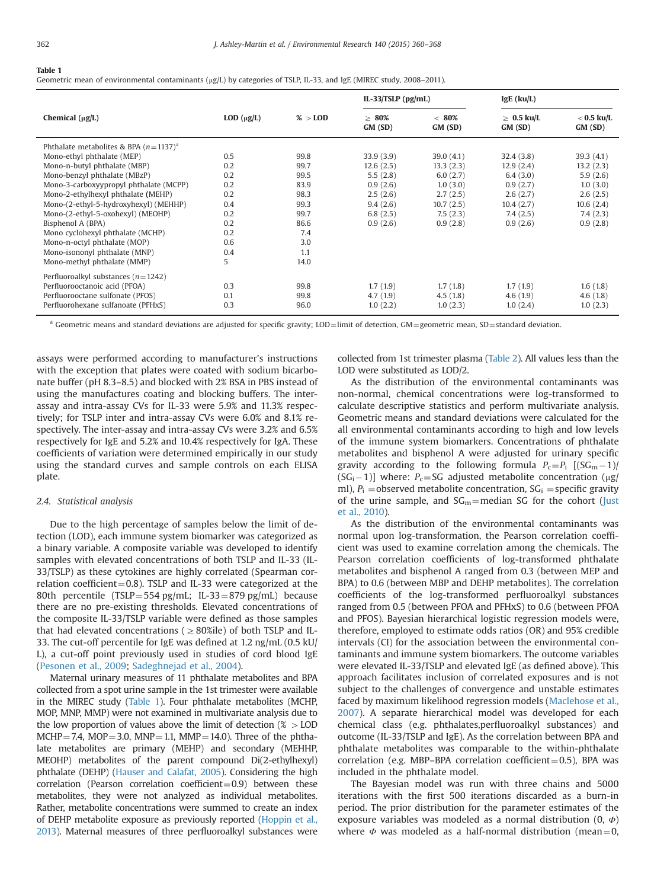#### <span id="page-2-0"></span>Table 1

Geometric mean of environmental contaminants (µg/L) by categories of TSLP, IL-33, and IgE (MIREC study, 2008–2011).

|                                            |                    |           | IL-33/TSLP $(pg/mL)$   |                     | $IgE$ ( $ku/L$ )                   |                         |  |
|--------------------------------------------|--------------------|-----------|------------------------|---------------------|------------------------------------|-------------------------|--|
| Chemical $(\mu g/L)$                       | $LOD$ ( $\mu$ g/L) | $% >$ LOD | $\geq 80\%$<br>GM (SD) | $< 80\%$<br>GM (SD) | $\geq 0.5 \text{ ku/L}$<br>GM (SD) | $<$ 0.5 ku/L<br>GM (SD) |  |
| Phthalate metabolites & BPA $(n=1137)^{a}$ |                    |           |                        |                     |                                    |                         |  |
| Mono-ethyl phthalate (MEP)                 | 0.5                | 99.8      | 33.9(3.9)              | 39.0(4.1)           | 32.4(3.8)                          | 39.3(4.1)               |  |
| Mono-n-butyl phthalate (MBP)               | 0.2                | 99.7      | 12.6(2.5)              | 13.3(2.3)           | 12.9(2.4)                          | 13.2(2.3)               |  |
| Mono-benzyl phthalate (MBzP)               | 0.2                | 99.5      | 5.5(2.8)               | 6.0(2.7)            | 6.4(3.0)                           | 5.9(2.6)                |  |
| Mono-3-carboxyypropyl phthalate (MCPP)     | 0.2                | 83.9      | 0.9(2.6)               | 1.0(3.0)            | 0.9(2.7)                           | 1.0(3.0)                |  |
| Mono-2-ethylhexyl phthalate (MEHP)         | 0.2                | 98.3      | 2.5(2.6)               | 2.7(2.5)            | 2.6(2.7)                           | 2.6(2.5)                |  |
| Mono-(2-ethyl-5-hydroxyhexyl) (MEHHP)      | 0.4                | 99.3      | 9.4(2.6)               | 10.7(2.5)           | 10.4(2.7)                          | 10.6(2.4)               |  |
| Mono-(2-ethyl-5-oxohexyl) (MEOHP)          | 0.2                | 99.7      | 6.8(2.5)               | 7.5(2.3)            | 7.4(2.5)                           | 7.4(2.3)                |  |
| Bisphenol A (BPA)                          | 0.2                | 86.6      | 0.9(2.6)               | 0.9(2.8)            | 0.9(2.6)                           | 0.9(2.8)                |  |
| Mono cyclohexyl phthalate (MCHP)           | 0.2                | 7.4       |                        |                     |                                    |                         |  |
| Mono-n-octyl phthalate (MOP)               | 0.6                | 3.0       |                        |                     |                                    |                         |  |
| Mono-isononyl phthalate (MNP)              | 0.4                | 1.1       |                        |                     |                                    |                         |  |
| Mono-methyl phthalate (MMP)                | 5                  | 14.0      |                        |                     |                                    |                         |  |
| Perfluoroalkyl substances $(n=1242)$       |                    |           |                        |                     |                                    |                         |  |
| Perfluorooctanoic acid (PFOA)              | 0.3                | 99.8      | 1.7(1.9)               | 1.7(1.8)            | 1.7(1.9)                           | 1.6(1.8)                |  |
| Perfluorooctane sulfonate (PFOS)           | 0.1                | 99.8      | 4.7(1.9)               | 4.5(1.8)            | 4.6(1.9)                           | 4.6(1.8)                |  |
| Perfluorohexane sulfanoate (PFHxS)         | 0.3                | 96.0      | 1.0(2.2)               | 1.0(2.3)            | 1.0(2.4)                           | 1.0(2.3)                |  |

<sup>a</sup> Geometric means and standard deviations are adjusted for specific gravity; LOD=limit of detection, GM=geometric mean, SD=standard deviation.

assays were performed according to manufacturer's instructions with the exception that plates were coated with sodium bicarbonate buffer (pH 8.3–8.5) and blocked with 2% BSA in PBS instead of using the manufactures coating and blocking buffers. The interassay and intra-assay CVs for IL-33 were 5.9% and 11.3% respectively; for TSLP inter and intra-assay CVs were 6.0% and 8.1% respectively. The inter-assay and intra-assay CVs were 3.2% and 6.5% respectively for IgE and 5.2% and 10.4% respectively for IgA. These coefficients of variation were determined empirically in our study using the standard curves and sample controls on each ELISA plate.

## 2.4. Statistical analysis

Due to the high percentage of samples below the limit of detection (LOD), each immune system biomarker was categorized as a binary variable. A composite variable was developed to identify samples with elevated concentrations of both TSLP and IL-33 (IL-33/TSLP) as these cytokines are highly correlated (Spearman correlation coefficient $=0.8$ ). TSLP and IL-33 were categorized at the 80th percentile (TSLP=554 pg/mL; IL-33=879 pg/mL) because there are no pre-existing thresholds. Elevated concentrations of the composite IL-33/TSLP variable were defined as those samples that had elevated concentrations ( $\geq$  80%ile) of both TSLP and IL-33. The cut-off percentile for IgE was defined at 1.2 ng/mL (0.5 kU/ L), a cut-off point previously used in studies of cord blood IgE ([Pesonen et al., 2009;](#page-8-0) [Sadeghnejad et al., 2004](#page-8-0)).

Maternal urinary measures of 11 phthalate metabolites and BPA collected from a spot urine sample in the 1st trimester were available in the MIREC study (Table 1). Four phthalate metabolites (MCHP, MOP, MNP, MMP) were not examined in multivariate analysis due to the low proportion of values above the limit of detection  $(\% >$  LOD  $MCHP = 7.4$ ,  $MOP = 3.0$ ,  $MNP = 1.1$ ,  $MMP = 14.0$ ). Three of the phthalate metabolites are primary (MEHP) and secondary (MEHHP, MEOHP) metabolites of the parent compound Di(2-ethylhexyl) phthalate (DEHP) [\(Hauser and Calafat, 2005](#page-7-0)). Considering the high correlation (Pearson correlation coefficient $=0.9$ ) between these metabolites, they were not analyzed as individual metabolites. Rather, metabolite concentrations were summed to create an index of DEHP metabolite exposure as previously reported ([Hoppin et al.,](#page-7-0) [2013](#page-7-0)). Maternal measures of three perfluoroalkyl substances were collected from 1st trimester plasma [\(Table 2](#page-3-0)). All values less than the LOD were substituted as LOD/2.

As the distribution of the environmental contaminants was non-normal, chemical concentrations were log-transformed to calculate descriptive statistics and perform multivariate analysis. Geometric means and standard deviations were calculated for the all environmental contaminants according to high and low levels of the immune system biomarkers. Concentrations of phthalate metabolites and bisphenol A were adjusted for urinary specific gravity according to the following formula  $P_c = P_i$  [(SG<sub>m</sub>-1)/  $(SG_i-1)$ ] where:  $P_c = SG$  adjusted metabolite concentration ( $\mu$ g/ ml),  $P_i$  = observed metabolite concentration,  $SG_i$  = specific gravity of the urine sample, and  $SG<sub>m</sub>=$  median SG for the cohort ([Just](#page-7-0) [et al., 2010](#page-7-0)).

As the distribution of the environmental contaminants was normal upon log-transformation, the Pearson correlation coefficient was used to examine correlation among the chemicals. The Pearson correlation coefficients of log-transformed phthalate metabolites and bisphenol A ranged from 0.3 (between MEP and BPA) to 0.6 (between MBP and DEHP metabolites). The correlation coefficients of the log-transformed perfluoroalkyl substances ranged from 0.5 (between PFOA and PFHxS) to 0.6 (between PFOA and PFOS). Bayesian hierarchical logistic regression models were, therefore, employed to estimate odds ratios (OR) and 95% credible intervals (CI) for the association between the environmental contaminants and immune system biomarkers. The outcome variables were elevated IL-33/TSLP and elevated IgE (as defined above). This approach facilitates inclusion of correlated exposures and is not subject to the challenges of convergence and unstable estimates faced by maximum likelihood regression models [\(Maclehose et al.,](#page-8-0) [2007\)](#page-8-0). A separate hierarchical model was developed for each chemical class (e.g. phthalates,perfluoroalkyl substances) and outcome (IL-33/TSLP and IgE). As the correlation between BPA and phthalate metabolites was comparable to the within-phthalate correlation (e.g. MBP–BPA correlation coefficient=0.5), BPA was included in the phthalate model.

The Bayesian model was run with three chains and 5000 iterations with the first 500 iterations discarded as a burn-in period. The prior distribution for the parameter estimates of the exposure variables was modeled as a normal distribution  $(0, \Phi)$ where  $\Phi$  was modeled as a half-normal distribution (mean=0,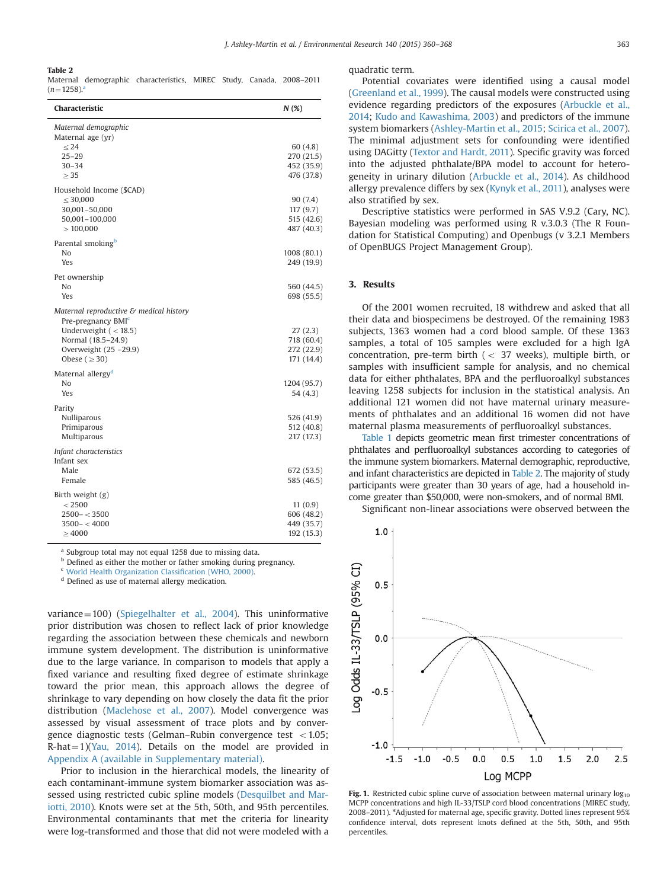<span id="page-3-0"></span>Table 2

Maternal demographic characteristics, MIREC Study, Canada, 2008–2011  $(n=1258).$ <sup>2</sup>

| Characteristic                                                                                                                                                           | N(%)                                              |
|--------------------------------------------------------------------------------------------------------------------------------------------------------------------------|---------------------------------------------------|
| Maternal demographic<br>Maternal age (yr)<br>$\leq$ 24<br>$25 - 29$<br>$30 - 34$                                                                                         | 60 (4.8)<br>270 (21.5)<br>452 (35.9)              |
| $\geq$ 35<br>Household Income (\$CAD)<br>$\leq 30,000$<br>30,001-50,000<br>50,001-100,000                                                                                | 476 (37.8)<br>90 (7.4)<br>117(9.7)<br>515 (42.6)  |
| >100,000<br>Parental smoking <sup>b</sup><br>No<br>Yes                                                                                                                   | 487 (40.3)<br>1008 (80.1)<br>249 (19.9)           |
| Pet ownership<br>No<br>Yes                                                                                                                                               | 560 (44.5)<br>698 (55.5)                          |
| Maternal reproductive & medical history<br>Pre-pregnancy BMI <sup>c</sup><br>Underweight $(< 18.5)$<br>Normal (18.5-24.9)<br>Overweight (25 -29.9)<br>Obese ( $\geq$ 30) | 27(2.3)<br>718 (60.4)<br>272 (22.9)<br>171 (14.4) |
| Maternal allergy <sup>d</sup><br>N <sub>o</sub><br>Yes                                                                                                                   | 1204 (95.7)<br>54 (4.3)                           |
| Parity<br>Nulliparous<br>Primiparous<br>Multiparous                                                                                                                      | 526 (41.9)<br>512 (40.8)<br>217 (17.3)            |
| Infant characteristics<br>Infant sex<br>Male<br>Female                                                                                                                   | 672 (53.5)<br>585 (46.5)                          |
| Birth weight (g)<br>< 2500<br>$2500 - < 3500$<br>$3500 - < 4000$<br>$\geq 4000$                                                                                          | 11(0.9)<br>606 (48.2)<br>449 (35.7)<br>192 (15.3) |

<sup>a</sup> Subgroup total may not equal 1258 due to missing data.

**b** Defined as either the mother or father smoking during pregnancy.

<sup>c</sup> [World Health Organization Classi](#page-8-0)fication (WHO, 2000).

<sup>d</sup> Defined as use of maternal allergy medication.

variance  $=100$ ) [\(Spiegelhalter et al., 2004\)](#page-8-0). This uninformative prior distribution was chosen to reflect lack of prior knowledge regarding the association between these chemicals and newborn immune system development. The distribution is uninformative due to the large variance. In comparison to models that apply a fixed variance and resulting fixed degree of estimate shrinkage toward the prior mean, this approach allows the degree of shrinkage to vary depending on how closely the data fit the prior distribution [\(Maclehose et al., 2007](#page-8-0)). Model convergence was assessed by visual assessment of trace plots and by convergence diagnostic tests (Gelman–Rubin convergence test  $<$  1.05;  $R-hat=1)(Yau, 2014)$  $R-hat=1)(Yau, 2014)$ . Details on the model are provided in [Appendix A \(available in Supplementary material\)](#page-7-0).

Prior to inclusion in the hierarchical models, the linearity of each contaminant-immune system biomarker association was assessed using restricted cubic spline models ([Desquilbet and Mar](#page-7-0)[iotti, 2010\)](#page-7-0). Knots were set at the 5th, 50th, and 95th percentiles. Environmental contaminants that met the criteria for linearity were log-transformed and those that did not were modeled with a

quadratic term.

Potential covariates were identified using a causal model ([Greenland et al., 1999\)](#page-7-0). The causal models were constructed using evidence regarding predictors of the exposures ([Arbuckle et al.,](#page-7-0) [2014;](#page-7-0) [Kudo and Kawashima, 2003\)](#page-7-0) and predictors of the immune system biomarkers [\(Ashley-Martin et al., 2015;](#page-7-0) [Scirica et al., 2007\)](#page-8-0). The minimal adjustment sets for confounding were identified using DAGitty [\(Textor and Hardt, 2011](#page-8-0)). Specific gravity was forced into the adjusted phthalate/BPA model to account for heterogeneity in urinary dilution [\(Arbuckle et al., 2014](#page-7-0)). As childhood allergy prevalence differs by sex [\(Kynyk et al., 2011\)](#page-7-0), analyses were also stratified by sex.

Descriptive statistics were performed in SAS V.9.2 (Cary, NC). Bayesian modeling was performed using R v.3.0.3 (The R Foundation for Statistical Computing) and Openbugs (v 3.2.1 Members of OpenBUGS Project Management Group).

# 3. Results

Of the 2001 women recruited, 18 withdrew and asked that all their data and biospecimens be destroyed. Of the remaining 1983 subjects, 1363 women had a cord blood sample. Of these 1363 samples, a total of 105 samples were excluded for a high IgA concentration, pre-term birth  $(<$  37 weeks), multiple birth, or samples with insufficient sample for analysis, and no chemical data for either phthalates, BPA and the perfluoroalkyl substances leaving 1258 subjects for inclusion in the statistical analysis. An additional 121 women did not have maternal urinary measurements of phthalates and an additional 16 women did not have maternal plasma measurements of perfluoroalkyl substances.

[Table 1](#page-2-0) depicts geometric mean first trimester concentrations of phthalates and perfluoroalkyl substances according to categories of the immune system biomarkers. Maternal demographic, reproductive, and infant characteristics are depicted in Table 2. The majority of study participants were greater than 30 years of age, had a household income greater than \$50,000, were non-smokers, and of normal BMI.

Significant non-linear associations were observed between the



Fig. 1. Restricted cubic spline curve of association between maternal urinary  $log_{10}$ MCPP concentrations and high IL-33/TSLP cord blood concentrations (MIREC study, 2008-2011). \*Adjusted for maternal age, specific gravity. Dotted lines represent 95% confidence interval, dots represent knots defined at the 5th, 50th, and 95th percentiles.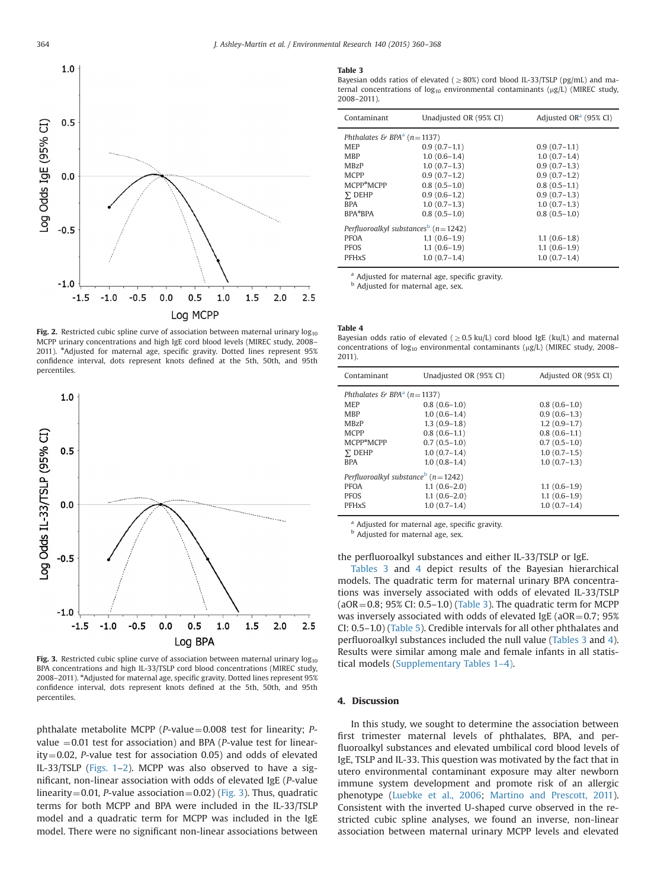

Fig. 2. Restricted cubic spline curve of association between maternal urinary  $log_{10}$ MCPP urinary concentrations and high IgE cord blood levels (MIREC study, 2008– 2011). \*Adjusted for maternal age, specific gravity. Dotted lines represent 95% confidence interval, dots represent knots defined at the 5th, 50th, and 95th percentiles.



Fig. 3. Restricted cubic spline curve of association between maternal urinary  $log_{10}$ BPA concentrations and high IL-33/TSLP cord blood concentrations (MIREC study, 2008-2011). \*Adjusted for maternal age, specific gravity. Dotted lines represent 95% confidence interval, dots represent knots defined at the 5th, 50th, and 95th percentiles.

phthalate metabolite MCPP (*P*-value $=0.008$  test for linearity; *P*value  $=0.01$  test for association) and BPA (*P*-value test for linearity=0.02, P-value test for association 0.05) and odds of elevated IL-33/TSLP ([Figs. 1](#page-3-0)–2). MCPP was also observed to have a significant, non-linear association with odds of elevated IgE (P-value linearity = 0.01, P-value association = 0.02) (Fig. 3). Thus, quadratic terms for both MCPP and BPA were included in the IL-33/TSLP model and a quadratic term for MCPP was included in the IgE model. There were no significant non-linear associations between

#### Table 3

Bayesian odds ratios of elevated ( $\geq$  80%) cord blood IL-33/TSLP (pg/mL) and maternal concentrations of  $log_{10}$  environmental contaminants ( $\mu$ g/L) (MIREC study, 2008–2011).

| Contaminant                                     | Unadjusted OR (95% CI) | Adjusted OR <sup>a</sup> (95% CI) |  |  |  |  |
|-------------------------------------------------|------------------------|-----------------------------------|--|--|--|--|
| Phthalates & BPA <sup>a</sup> ( $n = 1137$ )    |                        |                                   |  |  |  |  |
| <b>MEP</b>                                      | $0.9(0.7-1.1)$         | $0.9(0.7-1.1)$                    |  |  |  |  |
| <b>MBP</b>                                      | $1.0(0.6-1.4)$         | $1.0(0.7-1.4)$                    |  |  |  |  |
| MBzP                                            | $1.0(0.7-1.3)$         | $0.9(0.7-1.3)$                    |  |  |  |  |
| <b>MCPP</b>                                     | $0.9(0.7-1.2)$         | $0.9(0.7-1.2)$                    |  |  |  |  |
| MCPP*MCPP                                       | $0.8(0.5-1.0)$         | $0.8(0.5-1.1)$                    |  |  |  |  |
| $\Sigma$ DEHP                                   | $0.9(0.6-1.2)$         | $0.9(0.7-1.3)$                    |  |  |  |  |
| <b>BPA</b>                                      | $1.0(0.7-1.3)$         | $1.0(0.7-1.3)$                    |  |  |  |  |
| BPA*BPA                                         | $0.8(0.5-1.0)$         | $0.8(0.5-1.0)$                    |  |  |  |  |
| Perfluoroalkyl substances <sup>b</sup> (n=1242) |                        |                                   |  |  |  |  |
| <b>PFOA</b>                                     | $1.1(0.6-1.9)$         | $1.1(0.6-1.8)$                    |  |  |  |  |
| <b>PFOS</b>                                     | $1.1(0.6-1.9)$         | $1.1(0.6-1.9)$                    |  |  |  |  |
| <b>PFH<sub>x</sub>S</b>                         | $1.0(0.7-1.4)$         | $1.0(0.7-1.4)$                    |  |  |  |  |
|                                                 |                        |                                   |  |  |  |  |

<sup>a</sup> Adjusted for maternal age, specific gravity.

**b** Adjusted for maternal age, sex.

### Table 4

Bayesian odds ratio of elevated ( $\geq$  0.5 ku/L) cord blood IgE (ku/L) and maternal concentrations of  $log_{10}$  environmental contaminants ( $\mu$ g/L) (MIREC study, 2008– 2011).

| Contaminant                                          | Unadjusted OR (95% CI) | Adjusted OR (95% CI) |  |  |  |  |
|------------------------------------------------------|------------------------|----------------------|--|--|--|--|
| Phthalates & BPA <sup>a</sup> ( $n = 1137$ )         |                        |                      |  |  |  |  |
| <b>MEP</b>                                           | $0.8(0.6-1.0)$         | $0.8(0.6-1.0)$       |  |  |  |  |
| <b>MBP</b>                                           | $1.0(0.6-1.4)$         | $0.9(0.6-1.3)$       |  |  |  |  |
| MBzP                                                 | $1.3(0.9-1.8)$         | $1.2(0.9-1.7)$       |  |  |  |  |
| <b>MCPP</b>                                          | $0.8(0.6-1.1)$         | $0.8(0.6-1.1)$       |  |  |  |  |
| MCPP*MCPP                                            | $0.7(0.5-1.0)$         | $0.7(0.5-1.0)$       |  |  |  |  |
| $\Sigma$ DEHP                                        | $1.0(0.7-1.4)$         | $1.0(0.7-1.5)$       |  |  |  |  |
| <b>BPA</b>                                           | $1.0(0.8-1.4)$         | $1.0(0.7-1.3)$       |  |  |  |  |
| Perfluoroalkyl substance <sup>b</sup> ( $n = 1242$ ) |                        |                      |  |  |  |  |
| <b>PFOA</b>                                          | $1.1(0.6-2.0)$         | $1.1(0.6-1.9)$       |  |  |  |  |
| <b>PFOS</b>                                          | $1.1(0.6-2.0)$         | $1.1(0.6-1.9)$       |  |  |  |  |
| <b>PFH<sub>x</sub>S</b>                              | $1.0(0.7-1.4)$         | $1.0(0.7-1.4)$       |  |  |  |  |
|                                                      |                        |                      |  |  |  |  |

<sup>a</sup> Adjusted for maternal age, specific gravity.

**b** Adjusted for maternal age, sex.

the perfluoroalkyl substances and either IL-33/TSLP or IgE.

Tables 3 and 4 depict results of the Bayesian hierarchical models. The quadratic term for maternal urinary BPA concentrations was inversely associated with odds of elevated IL-33/TSLP  $(aOR = 0.8; 95\% CI: 0.5–1.0)$  (Table 3). The quadratic term for MCPP was inversely associated with odds of elevated IgE (aOR $=$ 0.7; 95%) CI: 0.5–1.0) ([Table 5\)](#page-5-0). Credible intervals for all other phthalates and perfluoroalkyl substances included the null value (Tables 3 and 4). Results were similar among male and female infants in all statistical models ([Supplementary Tables 1](#page-7-0)–4).

## 4. Discussion

In this study, we sought to determine the association between first trimester maternal levels of phthalates, BPA, and perfluoroalkyl substances and elevated umbilical cord blood levels of IgE, TSLP and IL-33. This question was motivated by the fact that in utero environmental contaminant exposure may alter newborn immune system development and promote risk of an allergic phenotype [\(Luebke et al., 2006;](#page-7-0) [Martino and Prescott, 2011\)](#page-8-0). Consistent with the inverted U-shaped curve observed in the restricted cubic spline analyses, we found an inverse, non-linear association between maternal urinary MCPP levels and elevated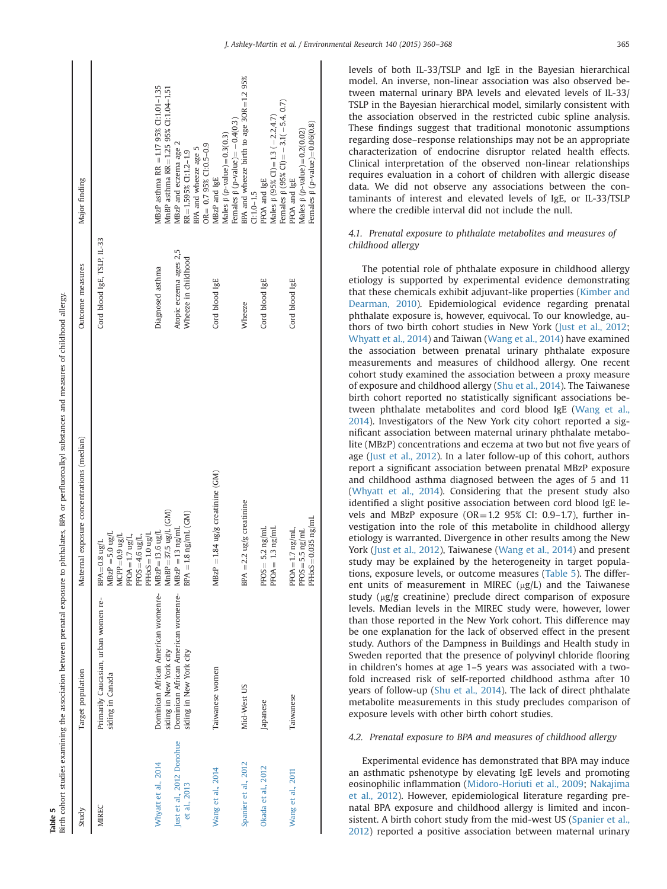<span id="page-5-0"></span>

|                                                                                    | Major finding                             |                                                                                                                             | $MBzP$ asthma RR = 1.17 95% Cl:1.01-1.35<br>MnBP asthma RR = 1.25 95% C1:1.04-1.51 | MBzP and eczema age 2<br>RR = 1.595% CI:1.2-1.9                | $OR = 0.795\%$ Cl:0.5-0.9<br>BPA and wheeze age 5 | Females $\beta$ ( <i>p</i> -value) = $-0.4(0.3)$<br>Males $\beta$ ( <i>p</i> -value) = 0.3(0.3)<br>MBzP and IgE | BPA and wheeze birth to age 30R=1.2 95%<br>$C1:1.0 - 1.5$ | Females $\beta$ (95% CI) = -3.1(-5.4, 0.7)<br>Males $\beta$ (95% CI) = 1.3 (-2.2,4.7)<br>PFOA and IgE | Females $\beta$ (p-value) = 0.06(0.8)<br>Males $\beta$ ( <i>p</i> -value) = 0.2(0.02)<br>PFOA and IgE |
|------------------------------------------------------------------------------------|-------------------------------------------|-----------------------------------------------------------------------------------------------------------------------------|------------------------------------------------------------------------------------|----------------------------------------------------------------|---------------------------------------------------|-----------------------------------------------------------------------------------------------------------------|-----------------------------------------------------------|-------------------------------------------------------------------------------------------------------|-------------------------------------------------------------------------------------------------------|
|                                                                                    | Outcome measures                          | Cord blood IgE, TSLP, IL-33                                                                                                 | Diagnosed asthma                                                                   | Atopic eczema ages 2,5<br>Wheeze in childhood                  |                                                   | Cord blood IgE                                                                                                  | Wheeze                                                    | Cord blood IgE                                                                                        | Cord blood IgE                                                                                        |
| to phthalates, BPA or perfluoroalkyl substances and measures of childhood allergy. | Maternal exposure concentrations (median) | $MBzP = 5.0$ ug/L<br>$PFHxS = 1.0$ ug/L<br>$MCPP = 0.9$ ug/L<br>$PFOA = 1.7$ ug/L,<br>$PFOS = 4.6$ ug/L<br>$BPA = 0.8$ ug/L | MnBP = $37.5 \text{ ug/L}$ (GM)<br>$MBzP = 13.6$ ug/L                              | $BPA = 1.8$ ng/mL (GM)<br>$MBzP = 13$ ng/mL                    |                                                   | $MBzP = 1.84$ ug/g creatinine (GM)                                                                              | BPA $=$ 2.2 ug/g creatinine                               | $PFOS = 5.2$ ng/mL<br>$PFOA = 1.3$ ng/mL                                                              | $PFHxS = 0.035$ ng/mL<br>$PFOA = 1.7$ ng/mL,<br>$PFOS = 5.5$ ng/mL                                    |
| Birth cohort studies examining the association between prenatal exposure           | Target population                         | Primarily Caucasian, urban women re-<br>siding in Canada                                                                    | Dominican African American womenre-<br>siding in New York city                     | Dominican African American womenre-<br>siding in New York city |                                                   | Taiwanese women                                                                                                 | Mid-West US                                               | Japanese                                                                                              | Taiwanese                                                                                             |
| Table 5                                                                            | Study                                     | MIREC                                                                                                                       | Whyatt et al., 2014                                                                | Just et al., 2012 Donohue<br>et al., 2013                      |                                                   | Wang et al., 2014                                                                                               | Spanier et al., 2012                                      | Okada et al., 2012                                                                                    | Wang et al., 2011                                                                                     |

 $\overline{1}$  $\blacksquare$  levels of both IL-33/TSLP and IgE in the Bayesian hierarchical model. An inverse, non-linear association was also observed between maternal urinary BPA levels and elevated levels of IL-33/ TSLP in the Bayesian hierarchical model, similarly consistent with the association observed in the restricted cubic spline analysis. These findings suggest that traditional monotonic assumptions regarding dose–response relationships may not be an appropriate characterization of endocrine disruptor related health effects. Clinical interpretation of the observed non-linear relationships requires evaluation in a cohort of children with allergic disease data. We did not observe any associations between the contaminants of interest and elevated levels of IgE, or IL-33/TSLP where the credible interval did not include the null.

# 4.1. Prenatal exposure to phthalate metabolites and measures of childhood allergy

The potential role of phthalate exposure in childhood allergy etiology is supported by experimental evidence demonstrating that these chemicals exhibit adjuvant-like properties [\(Kimber and](#page-7-0) [Dearman, 2010](#page-7-0)). Epidemiological evidence regarding prenatal phthalate exposure is, however, equivocal. To our knowledge, authors of two birth cohort studies in New York [\(Just et al., 2012;](#page-7-0) [Whyatt et al., 2014\)](#page-8-0) and Taiwan ([Wang et al., 2014](#page-8-0)) have examined the association between prenatal urinary phthalate exposure measurements and measures of childhood allergy. One recent cohort study examined the association between a proxy measure of exposure and childhood allergy [\(Shu et al., 2014\)](#page-8-0). The Taiwanese birth cohort reported no statistically significant associations between phthalate metabolites and cord blood IgE ([Wang et al.,](#page-8-0) [2014\)](#page-8-0). Investigators of the New York city cohort reported a significant association between maternal urinary phthalate metabolite (MBzP) concentrations and eczema at two but not five years of age ([Just et al., 2012](#page-7-0)). In a later follow-up of this cohort, authors report a significant association between prenatal MBzP exposure and childhood asthma diagnosed between the ages of 5 and 11 ([Whyatt et al., 2014](#page-8-0)). Considering that the present study also identified a slight positive association between cord blood IgE levels and MBzP exposure  $(OR=1.2 \ 95\% \ CI: 0.9-1.7)$ , further investigation into the role of this metabolite in childhood allergy etiology is warranted. Divergence in other results among the New York [\(Just et al., 2012\)](#page-7-0), Taiwanese [\(Wang et al., 2014](#page-8-0)) and present study may be explained by the heterogeneity in target populations, exposure levels, or outcome measures (Table 5). The different units of measurement in MIREC  $(\mu g/L)$  and the Taiwanese study  $\mu$ g/g creatinine) preclude direct comparison of exposure levels. Median levels in the MIREC study were, however, lower than those reported in the New York cohort. This difference may be one explanation for the lack of observed effect in the present study. Authors of the Dampness in Buildings and Health study in Sweden reported that the presence of polyvinyl chloride flooring in children's homes at age 1–5 years was associated with a twofold increased risk of self-reported childhood asthma after 10 years of follow-up [\(Shu et al., 2014\)](#page-8-0). The lack of direct phthalate metabolite measurements in this study precludes comparison of exposure levels with other birth cohort studies.

## 4.2. Prenatal exposure to BPA and measures of childhood allergy

Experimental evidence has demonstrated that BPA may induce an asthmatic pshenotype by elevating IgE levels and promoting eosinophilic inflammation [\(Midoro-Horiuti et al., 2009](#page-8-0); [Nakajima](#page-8-0) [et al., 2012](#page-8-0)). However, epidemiological literature regarding prenatal BPA exposure and childhood allergy is limited and inconsistent. A birth cohort study from the mid-west US [\(Spanier et al.,](#page-8-0) [2012\)](#page-8-0) reported a positive association between maternal urinary

 $\mathbf{I}$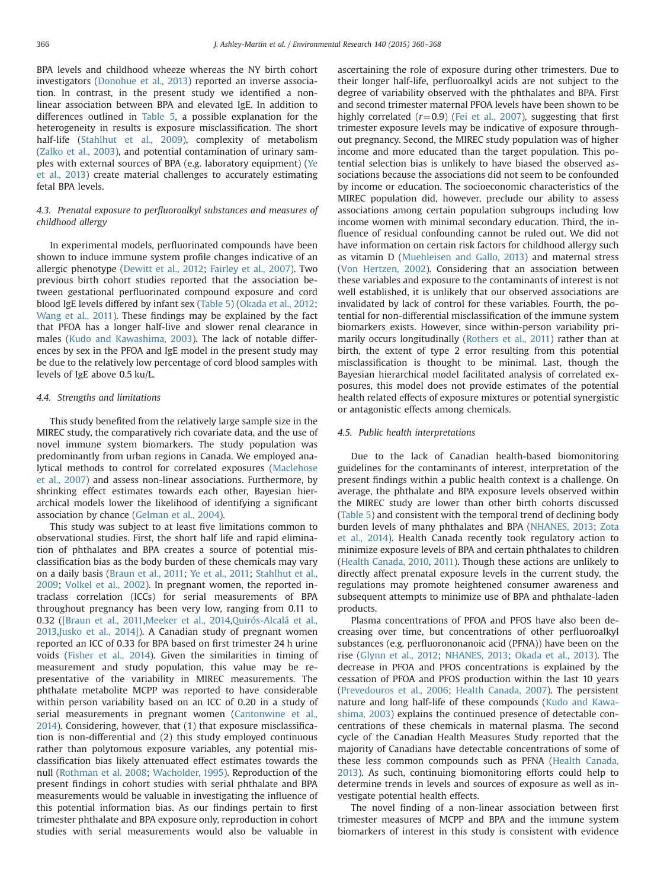BPA levels and childhood wheeze whereas the NY birth cohort investigators ([Donohue et al., 2013\)](#page-7-0) reported an inverse association. In contrast, in the present study we identified a nonlinear association between BPA and elevated IgE. In addition to differences outlined in [Table 5](#page-5-0), a possible explanation for the heterogeneity in results is exposure misclassification. The short half-life ([Stahlhut et al., 2009](#page-8-0)), complexity of metabolism ([Zalko et al., 2003\)](#page-8-0), and potential contamination of urinary samples with external sources of BPA (e.g. laboratory equipment) ([Ye](#page-8-0) [et al., 2013\)](#page-8-0) create material challenges to accurately estimating fetal BPA levels.

## 4.3. Prenatal exposure to perfluoroalkyl substances and measures of childhood allergy

In experimental models, perfluorinated compounds have been shown to induce immune system profile changes indicative of an allergic phenotype [\(Dewitt et al., 2012;](#page-7-0) [Fairley et al., 2007](#page-7-0)). Two previous birth cohort studies reported that the association between gestational perfluorinated compound exposure and cord blood IgE levels differed by infant sex [\(Table 5](#page-5-0)) [\(Okada et al., 2012;](#page-8-0) [Wang et al., 2011\)](#page-8-0). These findings may be explained by the fact that PFOA has a longer half-live and slower renal clearance in males ([Kudo and Kawashima, 2003\)](#page-7-0). The lack of notable differences by sex in the PFOA and IgE model in the present study may be due to the relatively low percentage of cord blood samples with levels of IgE above 0.5 ku/L.

## 4.4. Strengths and limitations

This study benefited from the relatively large sample size in the MIREC study, the comparatively rich covariate data, and the use of novel immune system biomarkers. The study population was predominantly from urban regions in Canada. We employed analytical methods to control for correlated exposures ([Maclehose](#page-8-0) [et al., 2007\)](#page-8-0) and assess non-linear associations. Furthermore, by shrinking effect estimates towards each other, Bayesian hierarchical models lower the likelihood of identifying a significant association by chance [\(Gelman et al., 2004](#page-7-0)).

This study was subject to at least five limitations common to observational studies. First, the short half life and rapid elimination of phthalates and BPA creates a source of potential misclassification bias as the body burden of these chemicals may vary on a daily basis ([Braun et al., 2011](#page-7-0); [Ye et al., 2011;](#page-8-0) [Stahlhut et al.,](#page-8-0) [2009;](#page-8-0) [Volkel et al., 2002\)](#page-8-0). In pregnant women, the reported intraclass correlation (ICCs) for serial measurements of BPA throughout pregnancy has been very low, ranging from 0.11 to 0.32 ([\[Braun et al., 2011,](#page-7-0)[Meeker et al., 2014,Quirós-Alcalá et al.,](#page-8-0) [2013,](#page-8-0)[Jusko et al., 2014\]\)](#page-7-0). A Canadian study of pregnant women reported an ICC of 0.33 for BPA based on first trimester 24 h urine voids ([Fisher et al., 2014\)](#page-7-0). Given the similarities in timing of measurement and study population, this value may be representative of the variability in MIREC measurements. The phthalate metabolite MCPP was reported to have considerable within person variability based on an ICC of 0.20 in a study of serial measurements in pregnant women ([Cantonwine et al.,](#page-7-0) [2014\)](#page-7-0). Considering, however, that (1) that exposure misclassification is non-differential and (2) this study employed continuous rather than polytomous exposure variables, any potential misclassification bias likely attenuated effect estimates towards the null [\(Rothman et al. 2008](#page-8-0); [Wacholder, 1995\)](#page-8-0). Reproduction of the present findings in cohort studies with serial phthalate and BPA measurements would be valuable in investigating the influence of this potential information bias. As our findings pertain to first trimester phthalate and BPA exposure only, reproduction in cohort studies with serial measurements would also be valuable in ascertaining the role of exposure during other trimesters. Due to their longer half-life, perfluoroalkyl acids are not subject to the degree of variability observed with the phthalates and BPA. First and second trimester maternal PFOA levels have been shown to be highly correlated  $(r=0.9)$  ([Fei et al., 2007\)](#page-7-0), suggesting that first trimester exposure levels may be indicative of exposure throughout pregnancy. Second, the MIREC study population was of higher income and more educated than the target population. This potential selection bias is unlikely to have biased the observed associations because the associations did not seem to be confounded by income or education. The socioeconomic characteristics of the MIREC population did, however, preclude our ability to assess associations among certain population subgroups including low income women with minimal secondary education. Third, the influence of residual confounding cannot be ruled out. We did not have information on certain risk factors for childhood allergy such as vitamin D [\(Muehleisen and Gallo, 2013](#page-8-0)) and maternal stress ([Von Hertzen, 2002](#page-8-0)). Considering that an association between these variables and exposure to the contaminants of interest is not well established, it is unlikely that our observed associations are invalidated by lack of control for these variables. Fourth, the potential for non-differential misclassification of the immune system biomarkers exists. However, since within-person variability primarily occurs longitudinally ([Rothers et al., 2011\)](#page-8-0) rather than at birth, the extent of type 2 error resulting from this potential misclassification is thought to be minimal. Last, though the Bayesian hierarchical model facilitated analysis of correlated exposures, this model does not provide estimates of the potential health related effects of exposure mixtures or potential synergistic or antagonistic effects among chemicals.

## 4.5. Public health interpretations

Due to the lack of Canadian health-based biomonitoring guidelines for the contaminants of interest, interpretation of the present findings within a public health context is a challenge. On average, the phthalate and BPA exposure levels observed within the MIREC study are lower than other birth cohorts discussed ([Table 5\)](#page-5-0) and consistent with the temporal trend of declining body burden levels of many phthalates and BPA ([NHANES, 2013](#page-8-0); [Zota](#page-8-0) [et al., 2014\)](#page-8-0). Health Canada recently took regulatory action to minimize exposure levels of BPA and certain phthalates to children ([Health Canada, 2010](#page-7-0), [2011\)](#page-7-0). Though these actions are unlikely to directly affect prenatal exposure levels in the current study, the regulations may promote heightened consumer awareness and subsequent attempts to minimize use of BPA and phthalate-laden products.

Plasma concentrations of PFOA and PFOS have also been decreasing over time, but concentrations of other perfluoroalkyl substances (e.g. perfluorononanoic acid (PFNA)) have been on the rise ([Glynn et al., 2012](#page-7-0); [NHANES, 2013;](#page-8-0) [Okada et al., 2013](#page-8-0)). The decrease in PFOA and PFOS concentrations is explained by the cessation of PFOA and PFOS production within the last 10 years ([Prevedouros et al., 2006](#page-8-0); [Health Canada, 2007\)](#page-7-0). The persistent nature and long half-life of these compounds ([Kudo and Kawa](#page-7-0)[shima, 2003\)](#page-7-0) explains the continued presence of detectable concentrations of these chemicals in maternal plasma. The second cycle of the Canadian Health Measures Study reported that the majority of Canadians have detectable concentrations of some of these less common compounds such as PFNA ([Health Canada,](#page-7-0) [2013\)](#page-7-0). As such, continuing biomonitoring efforts could help to determine trends in levels and sources of exposure as well as investigate potential health effects.

The novel finding of a non-linear association between first trimester measures of MCPP and BPA and the immune system biomarkers of interest in this study is consistent with evidence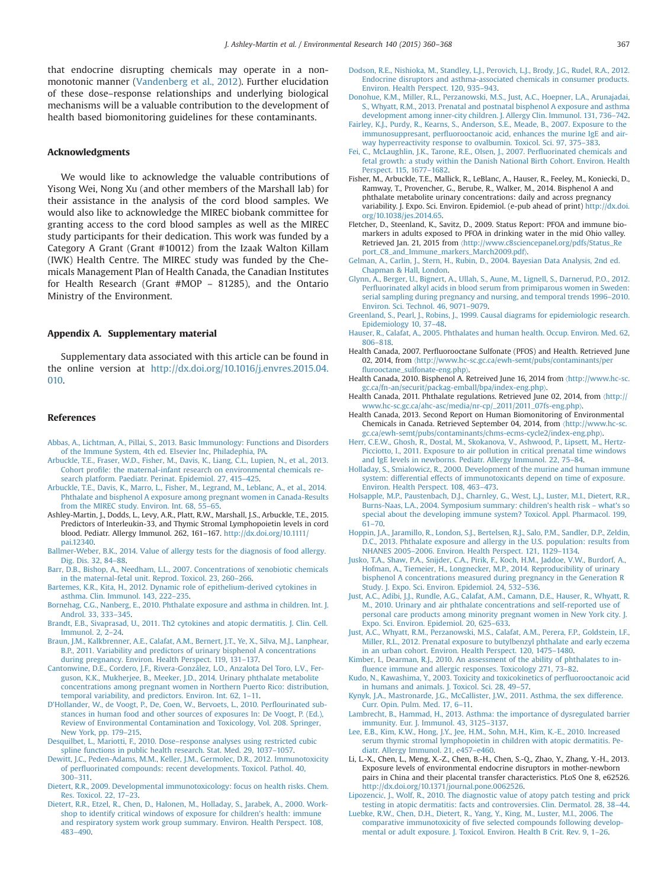<span id="page-7-0"></span>that endocrine disrupting chemicals may operate in a nonmonotonic manner ([Vandenberg et al., 2012\)](#page-8-0). Further elucidation of these dose–response relationships and underlying biological mechanisms will be a valuable contribution to the development of health based biomonitoring guidelines for these contaminants.

## Acknowledgments

We would like to acknowledge the valuable contributions of Yisong Wei, Nong Xu (and other members of the Marshall lab) for their assistance in the analysis of the cord blood samples. We would also like to acknowledge the MIREC biobank committee for granting access to the cord blood samples as well as the MIREC study participants for their dedication. This work was funded by a Category A Grant (Grant #10012) from the Izaak Walton Killam (IWK) Health Centre. The MIREC study was funded by the Chemicals Management Plan of Health Canada, the Canadian Institutes for Health Research (Grant #MOP – 81285), and the Ontario Ministry of the Environment.

## Appendix A. Supplementary material

Supplementary data associated with this article can be found in the online version at [http://dx.doi.org/10.1016/j.envres.2015.04.](http://dx.doi.org/10.1016/j.envres.2015.04.010) [010](http://dx.doi.org/10.1016/j.envres.2015.04.010).

## References

- [Abbas, A., Lichtman, A., Pillai, S., 2013. Basic Immunology: Functions and Disorders](http://refhub.elsevier.com/S0013-9351(15)00127-9/sbref1) [of the Immune System, 4th ed. Elsevier Inc, Philadephia, PA.](http://refhub.elsevier.com/S0013-9351(15)00127-9/sbref1)
- [Arbuckle, T.E., Fraser, W.D., Fisher, M., Davis, K., Liang, C.L., Lupien, N., et al., 2013.](http://refhub.elsevier.com/S0013-9351(15)00127-9/sbref2) Cohort profi[le: the maternal-infant research on environmental chemicals re](http://refhub.elsevier.com/S0013-9351(15)00127-9/sbref2)[search platform. Paediatr. Perinat. Epidemiol. 27, 415](http://refhub.elsevier.com/S0013-9351(15)00127-9/sbref2)–425.
- [Arbuckle, T.E., Davis, K., Marro, L., Fisher, M., Legrand, M., Leblanc, A., et al., 2014.](http://refhub.elsevier.com/S0013-9351(15)00127-9/sbref3) [Phthalate and bisphenol A exposure among pregnant women in Canada-Results](http://refhub.elsevier.com/S0013-9351(15)00127-9/sbref3) [from the MIREC study. Environ. Int. 68, 55](http://refhub.elsevier.com/S0013-9351(15)00127-9/sbref3)–65.
- Ashley-Martin, J., Dodds, L., Levy, A.R., Platt, R.W., Marshall, J.S., Arbuckle, T.E., 2015. Predictors of Interleukin-33, and Thymic Stromal Lymphopoietin levels in cord blood. Pediatr. Allergy Immunol. 262, 161–167. [http://dx.doi.org/10.1111/](http://dx.doi.org/10.1111/pai.12340) [pai.12340.](http://dx.doi.org/10.1111/pai.12340)
- [Ballmer-Weber, B.K., 2014. Value of allergy tests for the diagnosis of food allergy.](http://refhub.elsevier.com/S0013-9351(15)00127-9/sbref5) [Dig. Dis. 32, 84](http://refhub.elsevier.com/S0013-9351(15)00127-9/sbref5)–88.
- [Barr, D.B., Bishop, A., Needham, L.L., 2007. Concentrations of xenobiotic chemicals](http://refhub.elsevier.com/S0013-9351(15)00127-9/sbref6) [in the maternal-fetal unit. Reprod. Toxicol. 23, 260](http://refhub.elsevier.com/S0013-9351(15)00127-9/sbref6)–266.
- [Bartemes, K.R., Kita, H., 2012. Dynamic role of epithelium-derived cytokines in](http://refhub.elsevier.com/S0013-9351(15)00127-9/sbref7) [asthma. Clin. Immunol. 143, 222](http://refhub.elsevier.com/S0013-9351(15)00127-9/sbref7)–235.
- [Bornehag, C.G., Nanberg, E., 2010. Phthalate exposure and asthma in children. Int. J.](http://refhub.elsevier.com/S0013-9351(15)00127-9/sbref8) [Androl. 33, 333](http://refhub.elsevier.com/S0013-9351(15)00127-9/sbref8)–345.
- [Brandt, E.B., Sivaprasad, U., 2011. Th2 cytokines and atopic dermatitis. J. Clin. Cell.](http://refhub.elsevier.com/S0013-9351(15)00127-9/sbref9) [Immunol. 2, 2](http://refhub.elsevier.com/S0013-9351(15)00127-9/sbref9)–24.
- [Braun, J.M., Kalkbrenner, A.E., Calafat, A.M., Bernert, J.T., Ye, X., Silva, M.J., Lanphear,](http://refhub.elsevier.com/S0013-9351(15)00127-9/sbref10) [B.P., 2011. Variability and predictors of urinary bisphenol A concentrations](http://refhub.elsevier.com/S0013-9351(15)00127-9/sbref10) [during pregnancy. Environ. Health Perspect. 119, 131](http://refhub.elsevier.com/S0013-9351(15)00127-9/sbref10)–137.
- [Cantonwine, D.E., Cordero, J.F., Rivera-González, L.O., Anzalota Del Toro, L.V., Fer](http://refhub.elsevier.com/S0013-9351(15)00127-9/sbref12)[guson, K.K., Mukherjee, B., Meeker, J.D., 2014. Urinary phthalate metabolite](http://refhub.elsevier.com/S0013-9351(15)00127-9/sbref12) [concentrations among pregnant women in Northern Puerto Rico: distribution,](http://refhub.elsevier.com/S0013-9351(15)00127-9/sbref12) [temporal variability, and predictors. Environ. Int. 62, 1](http://refhub.elsevier.com/S0013-9351(15)00127-9/sbref12)–11.
- D'[Hollander, W., de Voogt, P., De, Coen, W., Bervoets, L., 2010. Per](http://refhub.elsevier.com/S0013-9351(15)00127-9/sbref13)flourinated sub[stances in human food and other sources of exposures In: De Voogt, P. \(Ed.\),](http://refhub.elsevier.com/S0013-9351(15)00127-9/sbref13) [Review of Environmental Contamination and Toxicology, Vol. 208. Springer,](http://refhub.elsevier.com/S0013-9351(15)00127-9/sbref13) [New York, pp. 179](http://refhub.elsevier.com/S0013-9351(15)00127-9/sbref13)–215.
- Desquilbet, L., Mariotti, F., 2010. Dose–[response analyses using restricted cubic](http://refhub.elsevier.com/S0013-9351(15)00127-9/sbref14) [spline functions in public health research. Stat. Med. 29, 1037](http://refhub.elsevier.com/S0013-9351(15)00127-9/sbref14)–1057.
- [Dewitt, J.C., Peden-Adams, M.M., Keller, J.M., Germolec, D.R., 2012. Immunotoxicity](http://refhub.elsevier.com/S0013-9351(15)00127-9/sbref15) of perfl[uorinated compounds: recent developments. Toxicol. Pathol. 40,](http://refhub.elsevier.com/S0013-9351(15)00127-9/sbref15) [300](http://refhub.elsevier.com/S0013-9351(15)00127-9/sbref15)–[311.](http://refhub.elsevier.com/S0013-9351(15)00127-9/sbref15)
- [Dietert, R.R., 2009. Developmental immunotoxicology: focus on health risks. Chem.](http://refhub.elsevier.com/S0013-9351(15)00127-9/sbref16) [Res. Toxicol. 22, 17](http://refhub.elsevier.com/S0013-9351(15)00127-9/sbref16)–23.
- [Dietert, R.R., Etzel, R., Chen, D., Halonen, M., Holladay, S., Jarabek, A., 2000. Work](http://refhub.elsevier.com/S0013-9351(15)00127-9/sbref17)[shop to identify critical windows of exposure for children's health: immune](http://refhub.elsevier.com/S0013-9351(15)00127-9/sbref17) [and respiratory system work group summary. Environ. Health Perspect. 108,](http://refhub.elsevier.com/S0013-9351(15)00127-9/sbref17) [483](http://refhub.elsevier.com/S0013-9351(15)00127-9/sbref17)–[490.](http://refhub.elsevier.com/S0013-9351(15)00127-9/sbref17)
- [Dodson, R.E., Nishioka, M., Standley, L.J., Perovich, L.J., Brody, J.G., Rudel, R.A., 2012.](http://refhub.elsevier.com/S0013-9351(15)00127-9/sbref18) [Endocrine disruptors and asthma-associated chemicals in consumer products.](http://refhub.elsevier.com/S0013-9351(15)00127-9/sbref18) [Environ. Health Perspect. 120, 935](http://refhub.elsevier.com/S0013-9351(15)00127-9/sbref18)–943.
- [Donohue, K.M., Miller, R.L., Perzanowski, M.S., Just, A.C., Hoepner, L.A., Arunajadai,](http://refhub.elsevier.com/S0013-9351(15)00127-9/sbref19) [S., Whyatt, R.M., 2013. Prenatal and postnatal bisphenol A exposure and asthma](http://refhub.elsevier.com/S0013-9351(15)00127-9/sbref19) [development among inner-city children. J. Allergy Clin. Immunol. 131, 736](http://refhub.elsevier.com/S0013-9351(15)00127-9/sbref19)–742.
- [Fairley, K.J., Purdy, R., Kearns, S., Anderson, S.E., Meade, B., 2007. Exposure to the](http://refhub.elsevier.com/S0013-9351(15)00127-9/sbref20) immunosuppresant, perfl[uorooctanoic acid, enhances the murine IgE and air](http://refhub.elsevier.com/S0013-9351(15)00127-9/sbref20)[way hyperreactivity response to ovalbumin. Toxicol. Sci. 97, 375](http://refhub.elsevier.com/S0013-9351(15)00127-9/sbref20)–383.
- [Fei, C., McLaughlin, J.K., Tarone, R.E., Olsen, J., 2007. Per](http://refhub.elsevier.com/S0013-9351(15)00127-9/sbref21)fluorinated chemicals and [fetal growth: a study within the Danish National Birth Cohort. Environ. Health](http://refhub.elsevier.com/S0013-9351(15)00127-9/sbref21) [Perspect. 115, 1677](http://refhub.elsevier.com/S0013-9351(15)00127-9/sbref21)–1682.
- Fisher, M., Arbuckle, T.E., Mallick, R., LeBlanc, A., Hauser, R., Feeley, M., Koniecki, D., Ramway, T., Provencher, G., Berube, R., Walker, M., 2014. Bisphenol A and phthalate metabolite urinary concentrations: daily and across pregnancy variability. J. Expo. Sci. Environ. Epidemiol. (e-pub ahead of print) [http://dx.doi.](http://dx.doi.org/10.1038/jes.2014.65) [org/10.1038/jes.2014.65.](http://dx.doi.org/10.1038/jes.2014.65)
- Fletcher, D., Steenland, K., Savitz, D., 2009. Status Report: PFOA and immune biomarkers in adults exposed to PFOA in drinking water in the mid Ohio valley. Retrieved Jan. 21, 2015 from 〈[http://www.c8sciencepanel.org/pdfs/Status\\_Re](http://www.c8sciencepanel.org/pdfs/Status_Report_C8_and_Immune_markers_March2009.pdf) [port\\_C8\\_and\\_Immune\\_markers\\_March2009.pdf](http://www.c8sciencepanel.org/pdfs/Status_Report_C8_and_Immune_markers_March2009.pdf)〉.
- [Gelman, A., Carlin, J., Stern, H., Rubin, D., 2004. Bayesian Data Analysis, 2nd ed.](http://refhub.elsevier.com/S0013-9351(15)00127-9/sbref23) [Chapman](http://refhub.elsevier.com/S0013-9351(15)00127-9/sbref23) & [Hall, London.](http://refhub.elsevier.com/S0013-9351(15)00127-9/sbref23)
- [Glynn, A., Berger, U., Bignert, A., Ullah, S., Aune, M., Lignell, S., Darnerud, P.O., 2012.](http://refhub.elsevier.com/S0013-9351(15)00127-9/sbref24) Perfl[uorinated alkyl acids in blood serum from primiparous women in Sweden:](http://refhub.elsevier.com/S0013-9351(15)00127-9/sbref24) [serial sampling during pregnancy and nursing, and temporal trends 1996](http://refhub.elsevier.com/S0013-9351(15)00127-9/sbref24)–2010. [Environ. Sci. Technol. 46, 9071](http://refhub.elsevier.com/S0013-9351(15)00127-9/sbref24)–9079.
- [Greenland, S., Pearl, J., Robins, J., 1999. Causal diagrams for epidemiologic research.](http://refhub.elsevier.com/S0013-9351(15)00127-9/sbref25) [Epidemiology 10, 37](http://refhub.elsevier.com/S0013-9351(15)00127-9/sbref25)–48.
- [Hauser, R., Calafat, A., 2005. Phthalates and human health. Occup. Environ. Med. 62,](http://refhub.elsevier.com/S0013-9351(15)00127-9/sbref26) [806](http://refhub.elsevier.com/S0013-9351(15)00127-9/sbref26)–[818.](http://refhub.elsevier.com/S0013-9351(15)00127-9/sbref26)
- Health Canada, 2007. Perfluorooctane Sulfonate (PFOS) and Health. Retrieved June 02, 2014, from 〈[http://www.hc-sc.gc.ca/ewh-semt/pubs/contaminants/per](http://www.hc-sc.gc.ca/ewh-semt/pubs/contaminants/perflurooctane_sulfonate-eng.php) fl[urooctane\\_sulfonate-eng.php](http://www.hc-sc.gc.ca/ewh-semt/pubs/contaminants/perflurooctane_sulfonate-eng.php)〉.
- Health Canada, 2010. Bisphenol A. Retreived June 16, 2014 from 〈[http://www.hc-sc.](http://www.hc-sc.gc.ca/fn-an/securit/packag-emball/bpa/index-eng.php) [gc.ca/fn-an/securit/packag-emball/bpa/index-eng.php](http://www.hc-sc.gc.ca/fn-an/securit/packag-emball/bpa/index-eng.php)〉.
- Health Canada, 2011. Phthalate regulations. Retrieved June 02, 2014, from 〈[http://](http://www.hc-sc.gc.ca/ahc-asc/media/nr-cp/_2011/2011_07fs-eng.php) [www.hc-sc.gc.ca/ahc-asc/media/nr-cp/\\_2011/2011\\_07fs-eng.php](http://www.hc-sc.gc.ca/ahc-asc/media/nr-cp/_2011/2011_07fs-eng.php)〉.
- Health Canada, 2013. Second Report on Human Biomonitoring of Environmental Chemicals in Canada. Retrieved September 04, 2014, from 〈[http://www.hc-sc.](http://www.hc-sc.gc.ca/ewh-semt/pubs/contaminants/chms-ecms-cycle2/index-eng.php) [gc.ca/ewh-semt/pubs/contaminants/chms-ecms-cycle2/index-eng.php](http://www.hc-sc.gc.ca/ewh-semt/pubs/contaminants/chms-ecms-cycle2/index-eng.php)〉.
- [Herr, C.E.W., Ghosh, R., Dostal, M., Skokanova, V., Ashwood, P., Lipsett, M., Hertz-](http://refhub.elsevier.com/S0013-9351(15)00127-9/sbref27)[Picciotto, I., 2011. Exposure to air pollution in critical prenatal time windows](http://refhub.elsevier.com/S0013-9351(15)00127-9/sbref27) [and IgE levels in newborns. Pediatr. Allergy Immunol. 22, 75](http://refhub.elsevier.com/S0013-9351(15)00127-9/sbref27)–84.
- [Holladay, S., Smialowicz, R., 2000. Development of the murine and human immune](http://refhub.elsevier.com/S0013-9351(15)00127-9/sbref28) [system: differential effects of immunotoxicants depend on time of exposure.](http://refhub.elsevier.com/S0013-9351(15)00127-9/sbref28) [Environ. Health Perspect. 108, 463](http://refhub.elsevier.com/S0013-9351(15)00127-9/sbref28)–473.
- [Holsapple, M.P., Paustenbach, D.J., Charnley, G., West, L.J., Luster, M.I., Dietert, R.R.,](http://refhub.elsevier.com/S0013-9351(15)00127-9/sbref29) [Burns-Naas, L.A., 2004. Symposium summary: children's health risk](http://refhub.elsevier.com/S0013-9351(15)00127-9/sbref29) – what's so [special about the developing immune system? Toxicol. Appl. Pharmacol. 199,](http://refhub.elsevier.com/S0013-9351(15)00127-9/sbref29) [61](http://refhub.elsevier.com/S0013-9351(15)00127-9/sbref29)–[70.](http://refhub.elsevier.com/S0013-9351(15)00127-9/sbref29)
- [Hoppin, J.A., Jaramillo, R., London, S.J., Bertelsen, R.J., Salo, P.M., Sandler, D.P., Zeldin,](http://refhub.elsevier.com/S0013-9351(15)00127-9/sbref30) [D.C., 2013. Phthalate exposure and allergy in the U.S. population: results from](http://refhub.elsevier.com/S0013-9351(15)00127-9/sbref30) NHANES 2005–[2006. Environ. Health Perspect. 121, 1129](http://refhub.elsevier.com/S0013-9351(15)00127-9/sbref30)–1134.
- [Jusko, T.A., Shaw, P.A., Snijder, C.A., Pirik, F., Koch, H.M., Jaddoe, V.W., Burdorf, A.,](http://refhub.elsevier.com/S0013-9351(15)00127-9/sbref31) [Hofman, A., Tiemeier, H., Longnecker, M.P., 2014. Reproducibility of urinary](http://refhub.elsevier.com/S0013-9351(15)00127-9/sbref31) [bisphenol A concentrations measured during pregnancy in the Generation R](http://refhub.elsevier.com/S0013-9351(15)00127-9/sbref31) [Study. J. Expo. Sci. Environ. Epidemiol. 24, 532](http://refhub.elsevier.com/S0013-9351(15)00127-9/sbref31)–536.
- [Just, A.C., Adibi, J.J., Rundle, A.G., Calafat, A.M., Camann, D.E., Hauser, R., Whyatt, R.](http://refhub.elsevier.com/S0013-9351(15)00127-9/sbref32) [M., 2010. Urinary and air phthalate concentrations and self-reported use of](http://refhub.elsevier.com/S0013-9351(15)00127-9/sbref32) [personal care products among minority pregnant women in New York city. J.](http://refhub.elsevier.com/S0013-9351(15)00127-9/sbref32) [Expo. Sci. Environ. Epidemiol. 20, 625](http://refhub.elsevier.com/S0013-9351(15)00127-9/sbref32)–633.
- [Just, A.C., Whyatt, R.M., Perzanowski, M.S., Calafat, A.M., Perera, F.P., Goldstein, I.F.,](http://refhub.elsevier.com/S0013-9351(15)00127-9/sbref33) [Miller, R.L., 2012. Prenatal exposure to butylbenzyl phthalate and early eczema](http://refhub.elsevier.com/S0013-9351(15)00127-9/sbref33) [in an urban cohort. Environ. Health Perspect. 120, 1475](http://refhub.elsevier.com/S0013-9351(15)00127-9/sbref33)–1480.
- [Kimber, I., Dearman, R.J., 2010. An assessment of the ability of phthalates to in](http://refhub.elsevier.com/S0013-9351(15)00127-9/sbref34)fl[uence immune and allergic responses. Toxicology 271, 73](http://refhub.elsevier.com/S0013-9351(15)00127-9/sbref34)–82.
- [Kudo, N., Kawashima, Y., 2003. Toxicity and toxicokinetics of per](http://refhub.elsevier.com/S0013-9351(15)00127-9/sbref35)fluorooctanoic acid [in humans and animals. J. Toxicol. Sci. 28, 49](http://refhub.elsevier.com/S0013-9351(15)00127-9/sbref35)–57.
- [Kynyk, J.A., Mastronarde, J.G., McCallister, J.W., 2011. Asthma, the sex difference.](http://refhub.elsevier.com/S0013-9351(15)00127-9/sbref36) [Curr. Opin. Pulm. Med. 17, 6](http://refhub.elsevier.com/S0013-9351(15)00127-9/sbref36)–11.
- [Lambrecht, B., Hammad, H., 2013. Asthma: the importance of dysregulated barrier](http://refhub.elsevier.com/S0013-9351(15)00127-9/sbref37) [immunity. Eur. J. Immunol. 43, 3125](http://refhub.elsevier.com/S0013-9351(15)00127-9/sbref37)–3137.
- [Lee, E.B., Kim, K.W., Hong, J.Y., Jee, H.M., Sohn, M.H., Kim, K.-E., 2010. Increased](http://refhub.elsevier.com/S0013-9351(15)00127-9/sbref38) [serum thymic stromal lymphopoietin in children with atopic dermatitis. Pe](http://refhub.elsevier.com/S0013-9351(15)00127-9/sbref38)[diatr. Allergy Immunol. 21, e457](http://refhub.elsevier.com/S0013-9351(15)00127-9/sbref38)–e460.
- Li, L.-X., Chen, L., Meng, X.-Z., Chen, B.-H., Chen, S.-Q., Zhao, Y., Zhang, Y.-H., 2013. Exposure levels of environmental endocrine disruptors in mother-newborn pairs in China and their placental transfer characteristics. PLoS One 8, e62526. <http://dx.doi.org/10.1371/journal.pone.0062526>.
- Lipozencić[, J., Wolf, R., 2010. The diagnostic value of atopy patch testing and prick](http://refhub.elsevier.com/S0013-9351(15)00127-9/sbref40) [testing in atopic dermatitis: facts and controversies. Clin. Dermatol. 28, 38](http://refhub.elsevier.com/S0013-9351(15)00127-9/sbref40)–44.
- [Luebke, R.W., Chen, D.H., Dietert, R., Yang, Y., King, M., Luster, M.I., 2006. The](http://refhub.elsevier.com/S0013-9351(15)00127-9/sbref41) comparative immunotoxicity of fi[ve selected compounds following develop](http://refhub.elsevier.com/S0013-9351(15)00127-9/sbref41)[mental or adult exposure. J. Toxicol. Environ. Health B Crit. Rev. 9, 1](http://refhub.elsevier.com/S0013-9351(15)00127-9/sbref41)–26.